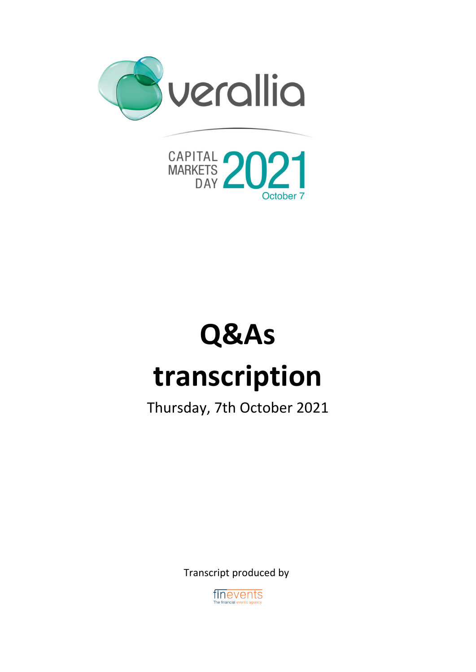



# **Q&As transcription**

Thursday, 7th October 2021

Transcript produced by

finevents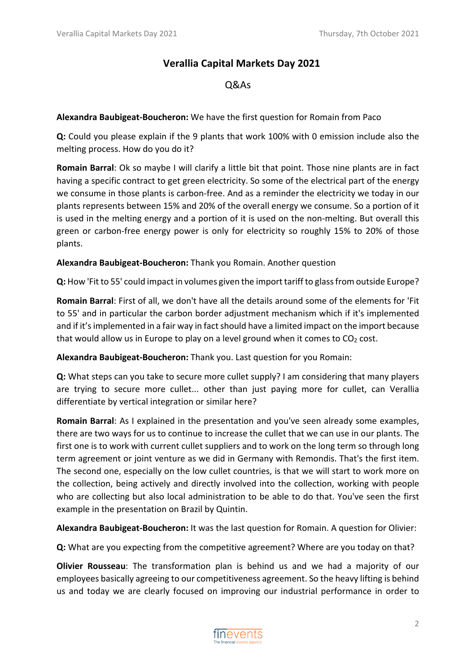# **Verallia Capital Markets Day 2021**

## Q&As

**Alexandra Baubigeat‐Boucheron:** We have the first question for Romain from Paco

**Q:** Could you please explain if the 9 plants that work 100% with 0 emission include also the melting process. How do you do it?

**Romain Barral**: Ok so maybe I will clarify a little bit that point. Those nine plants are in fact having a specific contract to get green electricity. So some of the electrical part of the energy we consume in those plants is carbon‐free. And as a reminder the electricity we today in our plants represents between 15% and 20% of the overall energy we consume. So a portion of it is used in the melting energy and a portion of it is used on the non-melting. But overall this green or carbon‐free energy power is only for electricity so roughly 15% to 20% of those plants.

**Alexandra Baubigeat‐Boucheron:** Thank you Romain. Another question

**Q:** How 'Fit to 55' could impact in volumes given the import tariff to glassfrom outside Europe?

**Romain Barral**: First of all, we don't have all the details around some of the elements for 'Fit to 55' and in particular the carbon border adjustment mechanism which if it's implemented and if it's implemented in a fair way in fact should have a limited impact on the import because that would allow us in Europe to play on a level ground when it comes to  $CO<sub>2</sub>$  cost.

**Alexandra Baubigeat‐Boucheron:** Thank you. Last question for you Romain:

**Q:** What steps can you take to secure more cullet supply? I am considering that many players are trying to secure more cullet... other than just paying more for cullet, can Verallia differentiate by vertical integration or similar here?

**Romain Barral**: As I explained in the presentation and you've seen already some examples, there are two ways for us to continue to increase the cullet that we can use in our plants. The first one is to work with current cullet suppliers and to work on the long term so through long term agreement or joint venture as we did in Germany with Remondis. That's the first item. The second one, especially on the low cullet countries, is that we will start to work more on the collection, being actively and directly involved into the collection, working with people who are collecting but also local administration to be able to do that. You've seen the first example in the presentation on Brazil by Quintin.

**Alexandra Baubigeat‐Boucheron:** It was the last question for Romain. A question for Olivier:

**Q:** What are you expecting from the competitive agreement? Where are you today on that?

**Olivier Rousseau**: The transformation plan is behind us and we had a majority of our employees basically agreeing to our competitiveness agreement. So the heavy lifting is behind us and today we are clearly focused on improving our industrial performance in order to

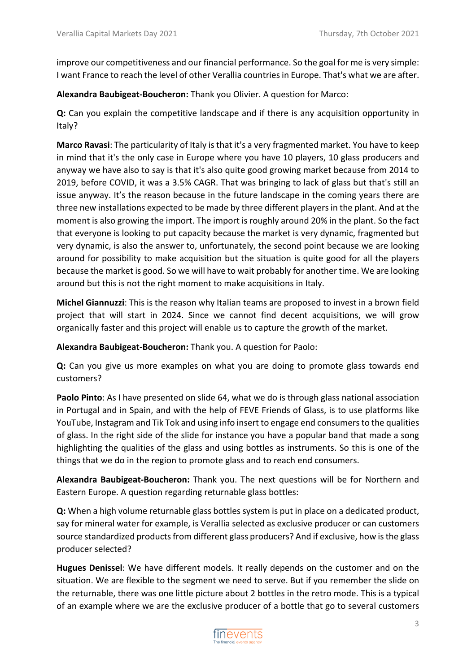improve our competitiveness and our financial performance. So the goal for me is very simple: I want France to reach the level of other Verallia countries in Europe. That's what we are after.

**Alexandra Baubigeat‐Boucheron:** Thank you Olivier. A question for Marco:

**Q:** Can you explain the competitive landscape and if there is any acquisition opportunity in Italy?

**Marco Ravasi**: The particularity of Italy isthat it's a very fragmented market. You have to keep in mind that it's the only case in Europe where you have 10 players, 10 glass producers and anyway we have also to say is that it's also quite good growing market because from 2014 to 2019, before COVID, it was a 3.5% CAGR. That was bringing to lack of glass but that's still an issue anyway. It's the reason because in the future landscape in the coming years there are three new installations expected to be made by three different playersin the plant. And at the moment is also growing the import. The import is roughly around 20% in the plant. So the fact that everyone is looking to put capacity because the market is very dynamic, fragmented but very dynamic, is also the answer to, unfortunately, the second point because we are looking around for possibility to make acquisition but the situation is quite good for all the players because the market is good. So we will have to wait probably for another time. We are looking around but this is not the right moment to make acquisitions in Italy.

**Michel Giannuzzi**: This is the reason why Italian teams are proposed to invest in a brown field project that will start in 2024. Since we cannot find decent acquisitions, we will grow organically faster and this project will enable us to capture the growth of the market.

**Alexandra Baubigeat‐Boucheron:** Thank you. A question for Paolo:

**Q:** Can you give us more examples on what you are doing to promote glass towards end customers?

**Paolo Pinto**: As I have presented on slide 64, what we do is through glass national association in Portugal and in Spain, and with the help of FEVE Friends of Glass, is to use platforms like YouTube, Instagram and Tik Tok and using info insert to engage end consumersto the qualities of glass. In the right side of the slide for instance you have a popular band that made a song highlighting the qualities of the glass and using bottles as instruments. So this is one of the things that we do in the region to promote glass and to reach end consumers.

**Alexandra Baubigeat‐Boucheron:** Thank you. The next questions will be for Northern and Eastern Europe. A question regarding returnable glass bottles:

**Q:** When a high volume returnable glass bottles system is put in place on a dedicated product, say for mineral water for example, is Verallia selected as exclusive producer or can customers source standardized products from different glass producers? And if exclusive, how is the glass producer selected?

**Hugues Denissel**: We have different models. It really depends on the customer and on the situation. We are flexible to the segment we need to serve. But if you remember the slide on the returnable, there was one little picture about 2 bottles in the retro mode. This is a typical of an example where we are the exclusive producer of a bottle that go to several customers

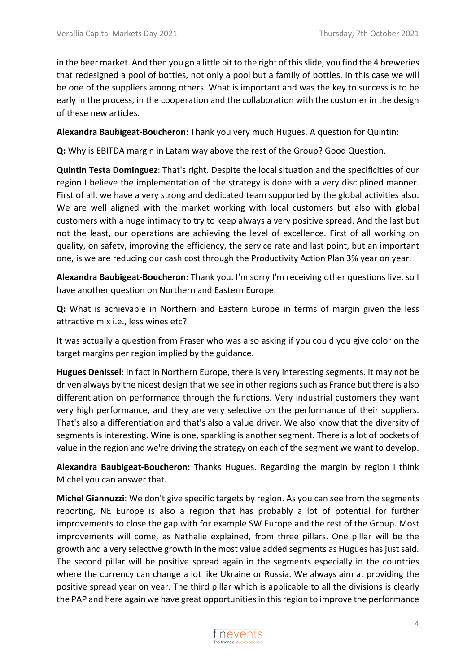in the beer market. And then you go a little bit to the right of thisslide, you find the 4 breweries that redesigned a pool of bottles, not only a pool but a family of bottles. In this case we will be one of the suppliers among others. What is important and was the key to success is to be early in the process, in the cooperation and the collaboration with the customer in the design of these new articles.

**Alexandra Baubigeat‐Boucheron:** Thank you very much Hugues. A question for Quintin:

**Q:** Why is EBITDA margin in Latam way above the rest of the Group? Good Question.

**Quintin Testa Dominguez**: That's right. Despite the local situation and the specificities of our region I believe the implementation of the strategy is done with a very disciplined manner. First of all, we have a very strong and dedicated team supported by the global activities also. We are well aligned with the market working with local customers but also with global customers with a huge intimacy to try to keep always a very positive spread. And the last but not the least, our operations are achieving the level of excellence. First of all working on quality, on safety, improving the efficiency, the service rate and last point, but an important one, is we are reducing our cash cost through the Productivity Action Plan 3% year on year.

**Alexandra Baubigeat‐Boucheron:** Thank you. I'm sorry I'm receiving other questions live, so I have another question on Northern and Eastern Europe.

**Q:** What is achievable in Northern and Eastern Europe in terms of margin given the less attractive mix i.e., less wines etc?

It was actually a question from Fraser who was also asking if you could you give color on the target margins per region implied by the guidance.

**Hugues Denissel**: In fact in Northern Europe, there is very interesting segments. It may not be driven always by the nicest design that we see in other regions such as France but there is also differentiation on performance through the functions. Very industrial customers they want very high performance, and they are very selective on the performance of their suppliers. That's also a differentiation and that's also a value driver. We also know that the diversity of segments is interesting. Wine is one, sparkling is another segment. There is a lot of pockets of value in the region and we're driving the strategy on each of the segment we want to develop.

**Alexandra Baubigeat‐Boucheron:** Thanks Hugues. Regarding the margin by region I think Michel you can answer that.

**Michel Giannuzzi**: We don't give specific targets by region. As you can see from the segments reporting, NE Europe is also a region that has probably a lot of potential for further improvements to close the gap with for example SW Europe and the rest of the Group. Most improvements will come, as Nathalie explained, from three pillars. One pillar will be the growth and a very selective growth in the most value added segments as Hugues hasjust said. The second pillar will be positive spread again in the segments especially in the countries where the currency can change a lot like Ukraine or Russia. We always aim at providing the positive spread year on year. The third pillar which is applicable to all the divisions is clearly the PAP and here again we have great opportunitiesin thisregion to improve the performance

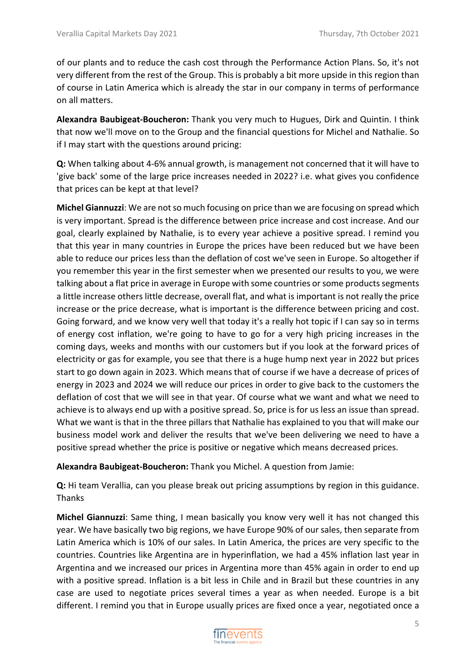of our plants and to reduce the cash cost through the Performance Action Plans. So, it's not very different from the rest of the Group. This is probably a bit more upside in this region than of course in Latin America which is already the star in our company in terms of performance on all matters.

**Alexandra Baubigeat‐Boucheron:** Thank you very much to Hugues, Dirk and Quintin. I think that now we'll move on to the Group and the financial questions for Michel and Nathalie. So if I may start with the questions around pricing:

**Q:** When talking about 4‐6% annual growth, is management not concerned that it will have to 'give back' some of the large price increases needed in 2022? i.e. what gives you confidence that prices can be kept at that level?

**Michel Giannuzzi:** We are not so much focusing on price than we are focusing on spread which is very important. Spread is the difference between price increase and cost increase. And our goal, clearly explained by Nathalie, is to every year achieve a positive spread. I remind you that this year in many countries in Europe the prices have been reduced but we have been able to reduce our prices less than the deflation of cost we've seen in Europe. So altogether if you remember this year in the first semester when we presented our results to you, we were talking about a flat price in average in Europe with some countries or some products segments a little increase others little decrease, overall flat, and what is important is not really the price increase or the price decrease, what is important is the difference between pricing and cost. Going forward, and we know very well that today it's a really hot topic if I can say so in terms of energy cost inflation, we're going to have to go for a very high pricing increases in the coming days, weeks and months with our customers but if you look at the forward prices of electricity or gas for example, you see that there is a huge hump next year in 2022 but prices start to go down again in 2023. Which means that of course if we have a decrease of prices of energy in 2023 and 2024 we will reduce our prices in order to give back to the customers the deflation of cost that we will see in that year. Of course what we want and what we need to achieve is to always end up with a positive spread. So, price is for us less an issue than spread. What we want is that in the three pillars that Nathalie has explained to you that will make our business model work and deliver the results that we've been delivering we need to have a positive spread whether the price is positive or negative which means decreased prices.

**Alexandra Baubigeat‐Boucheron:** Thank you Michel. A question from Jamie:

**Q:** Hi team Verallia, can you please break out pricing assumptions by region in this guidance. Thanks

**Michel Giannuzzi**: Same thing, I mean basically you know very well it has not changed this year. We have basically two big regions, we have Europe 90% of our sales, then separate from Latin America which is 10% of our sales. In Latin America, the prices are very specific to the countries. Countries like Argentina are in hyperinflation, we had a 45% inflation last year in Argentina and we increased our prices in Argentina more than 45% again in order to end up with a positive spread. Inflation is a bit less in Chile and in Brazil but these countries in any case are used to negotiate prices several times a year as when needed. Europe is a bit different. I remind you that in Europe usually prices are fixed once a year, negotiated once a

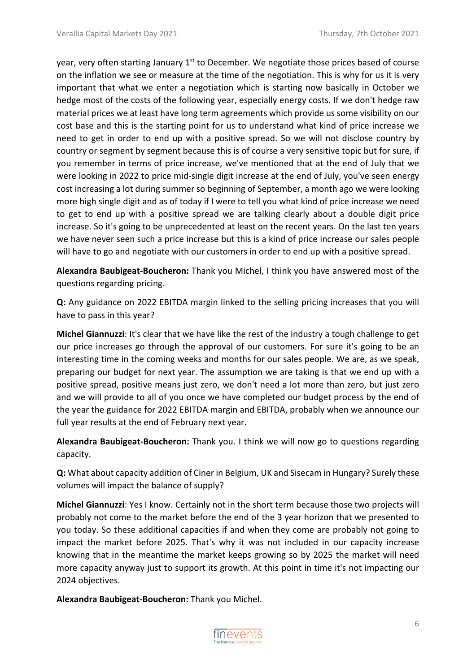year, very often starting January 1<sup>st</sup> to December. We negotiate those prices based of course on the inflation we see or measure at the time of the negotiation. This is why for us it is very important that what we enter a negotiation which is starting now basically in October we hedge most of the costs of the following year, especially energy costs. If we don't hedge raw material prices we at least have long term agreements which provide us some visibility on our cost base and this is the starting point for us to understand what kind of price increase we need to get in order to end up with a positive spread. So we will not disclose country by country or segment by segment because this is of course a very sensitive topic but for sure, if you remember in terms of price increase, we've mentioned that at the end of July that we were looking in 2022 to price mid-single digit increase at the end of July, you've seen energy cost increasing a lot during summer so beginning of September, a month ago we were looking more high single digit and as of today if I were to tell you what kind of price increase we need to get to end up with a positive spread we are talking clearly about a double digit price increase. So it's going to be unprecedented at least on the recent years. On the last ten years we have never seen such a price increase but this is a kind of price increase our sales people will have to go and negotiate with our customers in order to end up with a positive spread.

**Alexandra Baubigeat‐Boucheron:** Thank you Michel, I think you have answered most of the questions regarding pricing.

**Q:** Any guidance on 2022 EBITDA margin linked to the selling pricing increases that you will have to pass in this year?

**Michel Giannuzzi**: It's clear that we have like the rest of the industry a tough challenge to get our price increases go through the approval of our customers. For sure it's going to be an interesting time in the coming weeks and months for our sales people. We are, as we speak, preparing our budget for next year. The assumption we are taking is that we end up with a positive spread, positive means just zero, we don't need a lot more than zero, but just zero and we will provide to all of you once we have completed our budget process by the end of the year the guidance for 2022 EBITDA margin and EBITDA, probably when we announce our full year results at the end of February next year.

**Alexandra Baubigeat‐Boucheron:** Thank you. I think we will now go to questions regarding capacity.

**Q:** What about capacity addition of Ciner in Belgium, UK and Sisecam in Hungary? Surely these volumes will impact the balance of supply?

**Michel Giannuzzi**: Yes I know. Certainly not in the short term because those two projects will probably not come to the market before the end of the 3 year horizon that we presented to you today. So these additional capacities if and when they come are probably not going to impact the market before 2025. That's why it was not included in our capacity increase knowing that in the meantime the market keeps growing so by 2025 the market will need more capacity anyway just to support its growth. At this point in time it's not impacting our 2024 objectives.

**Alexandra Baubigeat‐Boucheron:** Thank you Michel.

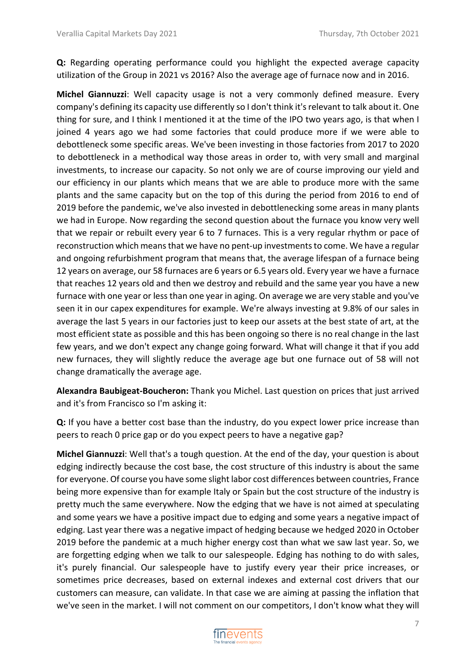**Q:** Regarding operating performance could you highlight the expected average capacity utilization of the Group in 2021 vs 2016? Also the average age of furnace now and in 2016.

**Michel Giannuzzi**: Well capacity usage is not a very commonly defined measure. Every company's defining its capacity use differently so I don't think it'srelevant to talk about it. One thing for sure, and I think I mentioned it at the time of the IPO two years ago, is that when I joined 4 years ago we had some factories that could produce more if we were able to debottleneck some specific areas. We've been investing in those factories from 2017 to 2020 to debottleneck in a methodical way those areas in order to, with very small and marginal investments, to increase our capacity. So not only we are of course improving our yield and our efficiency in our plants which means that we are able to produce more with the same plants and the same capacity but on the top of this during the period from 2016 to end of 2019 before the pandemic, we've also invested in debottlenecking some areas in many plants we had in Europe. Now regarding the second question about the furnace you know very well that we repair or rebuilt every year 6 to 7 furnaces. This is a very regular rhythm or pace of reconstruction which means that we have no pent-up investments to come. We have a regular and ongoing refurbishment program that means that, the average lifespan of a furnace being 12 years on average, our 58 furnaces are 6 years or 6.5 years old. Every year we have a furnace that reaches 12 years old and then we destroy and rebuild and the same year you have a new furnace with one year or less than one year in aging. On average we are very stable and you've seen it in our capex expenditures for example. We're always investing at 9.8% of our sales in average the last 5 years in our factories just to keep our assets at the best state of art, at the most efficient state as possible and this has been ongoing so there is no real change in the last few years, and we don't expect any change going forward. What will change it that if you add new furnaces, they will slightly reduce the average age but one furnace out of 58 will not change dramatically the average age.

**Alexandra Baubigeat‐Boucheron:** Thank you Michel. Last question on prices that just arrived and it's from Francisco so I'm asking it:

**Q:** If you have a better cost base than the industry, do you expect lower price increase than peers to reach 0 price gap or do you expect peers to have a negative gap?

**Michel Giannuzzi**: Well that's a tough question. At the end of the day, your question is about edging indirectly because the cost base, the cost structure of this industry is about the same for everyone. Of course you have some slight labor cost differences between countries, France being more expensive than for example Italy or Spain but the cost structure of the industry is pretty much the same everywhere. Now the edging that we have is not aimed at speculating and some years we have a positive impact due to edging and some years a negative impact of edging. Last year there was a negative impact of hedging because we hedged 2020 in October 2019 before the pandemic at a much higher energy cost than what we saw last year. So, we are forgetting edging when we talk to our salespeople. Edging has nothing to do with sales, it's purely financial. Our salespeople have to justify every year their price increases, or sometimes price decreases, based on external indexes and external cost drivers that our customers can measure, can validate. In that case we are aiming at passing the inflation that we've seen in the market. I will not comment on our competitors, I don't know what they will

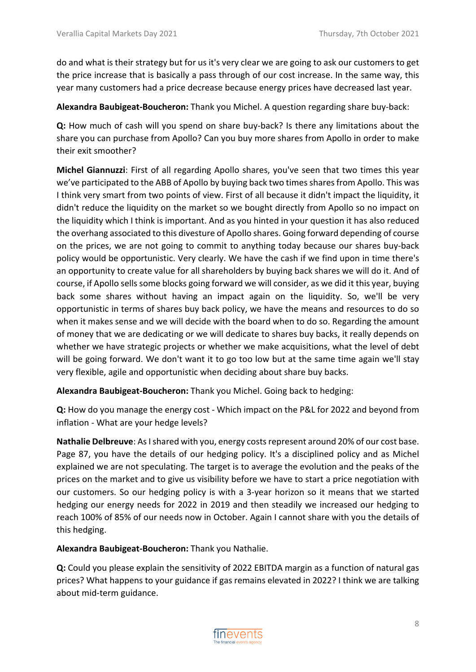do and what is their strategy but for us it's very clear we are going to ask our customers to get the price increase that is basically a pass through of our cost increase. In the same way, this year many customers had a price decrease because energy prices have decreased last year.

**Alexandra Baubigeat‐Boucheron:** Thank you Michel. A question regarding share buy‐back:

**Q:** How much of cash will you spend on share buy‐back? Is there any limitations about the share you can purchase from Apollo? Can you buy more shares from Apollo in order to make their exit smoother?

**Michel Giannuzzi**: First of all regarding Apollo shares, you've seen that two times this year we've participated to the ABB of Apollo by buying back two times shares from Apollo. This was I think very smart from two points of view. First of all because it didn't impact the liquidity, it didn't reduce the liquidity on the market so we bought directly from Apollo so no impact on the liquidity which I think is important. And as you hinted in your question it has also reduced the overhang associated to this divesture of Apollo shares. Going forward depending of course on the prices, we are not going to commit to anything today because our shares buy‐back policy would be opportunistic. Very clearly. We have the cash if we find upon in time there's an opportunity to create value for all shareholders by buying back shares we will do it. And of course, if Apollo sells some blocks going forward we will consider, as we did it this year, buying back some shares without having an impact again on the liquidity. So, we'll be very opportunistic in terms of shares buy back policy, we have the means and resources to do so when it makes sense and we will decide with the board when to do so. Regarding the amount of money that we are dedicating or we will dedicate to shares buy backs, it really depends on whether we have strategic projects or whether we make acquisitions, what the level of debt will be going forward. We don't want it to go too low but at the same time again we'll stay very flexible, agile and opportunistic when deciding about share buy backs.

**Alexandra Baubigeat‐Boucheron:** Thank you Michel. Going back to hedging:

**Q:** How do you manage the energy cost ‐ Which impact on the P&L for 2022 and beyond from inflation ‐ What are your hedge levels?

**Nathalie Delbreuve**: As I shared with you, energy costs represent around 20% of our cost base. Page 87, you have the details of our hedging policy. It's a disciplined policy and as Michel explained we are not speculating. The target is to average the evolution and the peaks of the prices on the market and to give us visibility before we have to start a price negotiation with our customers. So our hedging policy is with a 3‐year horizon so it means that we started hedging our energy needs for 2022 in 2019 and then steadily we increased our hedging to reach 100% of 85% of our needs now in October. Again I cannot share with you the details of this hedging.

**Alexandra Baubigeat‐Boucheron:** Thank you Nathalie.

**Q:** Could you please explain the sensitivity of 2022 EBITDA margin as a function of natural gas prices? What happens to your guidance if gas remains elevated in 2022? I think we are talking about mid‐term guidance.

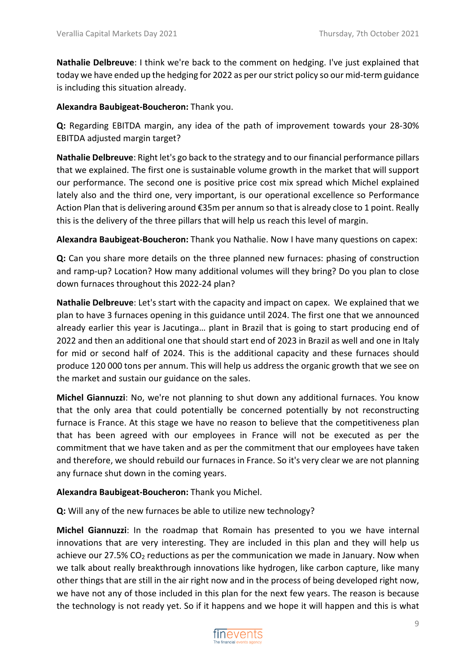**Nathalie Delbreuve**: I think we're back to the comment on hedging. I've just explained that today we have ended up the hedging for 2022 as per our strict policy so our mid-term guidance is including this situation already.

#### **Alexandra Baubigeat‐Boucheron:** Thank you.

**Q:** Regarding EBITDA margin, any idea of the path of improvement towards your 28‐30% EBITDA adjusted margin target?

**Nathalie Delbreuve**: Right let's go back to the strategy and to our financial performance pillars that we explained. The first one is sustainable volume growth in the market that will support our performance. The second one is positive price cost mix spread which Michel explained lately also and the third one, very important, is our operational excellence so Performance Action Plan that is delivering around €35m per annum so that is already close to 1 point. Really this is the delivery of the three pillars that will help us reach this level of margin.

**Alexandra Baubigeat‐Boucheron:** Thank you Nathalie. Now I have many questions on capex:

**Q:** Can you share more details on the three planned new furnaces: phasing of construction and ramp‐up? Location? How many additional volumes will they bring? Do you plan to close down furnaces throughout this 2022‐24 plan?

**Nathalie Delbreuve**: Let's start with the capacity and impact on capex. We explained that we plan to have 3 furnaces opening in this guidance until 2024. The first one that we announced already earlier this year is Jacutinga… plant in Brazil that is going to start producing end of 2022 and then an additional one that should start end of 2023 in Brazil as well and one in Italy for mid or second half of 2024. This is the additional capacity and these furnaces should produce 120 000 tons per annum. This will help us address the organic growth that we see on the market and sustain our guidance on the sales.

**Michel Giannuzzi**: No, we're not planning to shut down any additional furnaces. You know that the only area that could potentially be concerned potentially by not reconstructing furnace is France. At this stage we have no reason to believe that the competitiveness plan that has been agreed with our employees in France will not be executed as per the commitment that we have taken and as per the commitment that our employees have taken and therefore, we should rebuild our furnaces in France. So it's very clear we are not planning any furnace shut down in the coming years.

### **Alexandra Baubigeat‐Boucheron:** Thank you Michel.

**Q:** Will any of the new furnaces be able to utilize new technology?

**Michel Giannuzzi**: In the roadmap that Romain has presented to you we have internal innovations that are very interesting. They are included in this plan and they will help us achieve our 27.5%  $CO<sub>2</sub>$  reductions as per the communication we made in January. Now when we talk about really breakthrough innovations like hydrogen, like carbon capture, like many other things that are still in the air right now and in the process of being developed right now, we have not any of those included in this plan for the next few years. The reason is because the technology is not ready yet. So if it happens and we hope it will happen and this is what

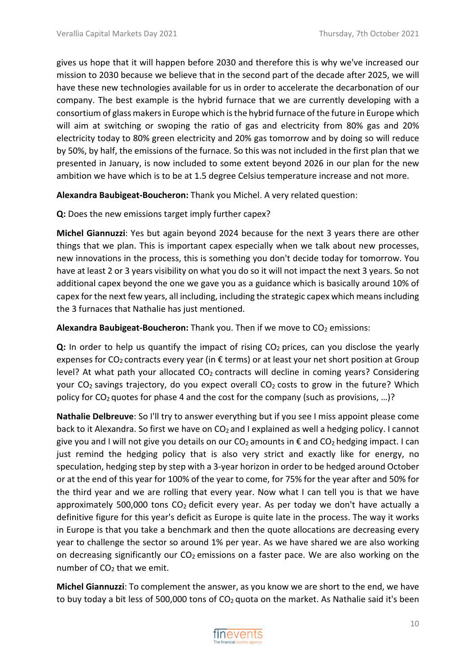gives us hope that it will happen before 2030 and therefore this is why we've increased our mission to 2030 because we believe that in the second part of the decade after 2025, we will have these new technologies available for us in order to accelerate the decarbonation of our company. The best example is the hybrid furnace that we are currently developing with a consortium of glass makers in Europe which is the hybrid furnace of the future in Europe which will aim at switching or swoping the ratio of gas and electricity from 80% gas and 20% electricity today to 80% green electricity and 20% gas tomorrow and by doing so will reduce by 50%, by half, the emissions of the furnace. So this was not included in the first plan that we presented in January, is now included to some extent beyond 2026 in our plan for the new ambition we have which is to be at 1.5 degree Celsius temperature increase and not more.

**Alexandra Baubigeat‐Boucheron:** Thank you Michel. A very related question:

**Q:** Does the new emissions target imply further capex?

**Michel Giannuzzi**: Yes but again beyond 2024 because for the next 3 years there are other things that we plan. This is important capex especially when we talk about new processes, new innovations in the process, this is something you don't decide today for tomorrow. You have at least 2 or 3 years visibility on what you do so it will not impact the next 3 years. So not additional capex beyond the one we gave you as a guidance which is basically around 10% of capex for the next few years, all including, including the strategic capex which meansincluding the 3 furnaces that Nathalie has just mentioned.

Alexandra Baubigeat-Boucheron: Thank you. Then if we move to CO<sub>2</sub> emissions:

**Q:** In order to help us quantify the impact of rising CO<sub>2</sub> prices, can you disclose the yearly expenses for CO<sub>2</sub> contracts every year (in  $\epsilon$  terms) or at least your net short position at Group level? At what path your allocated  $CO<sub>2</sub>$  contracts will decline in coming years? Considering your  $CO<sub>2</sub>$  savings trajectory, do you expect overall  $CO<sub>2</sub>$  costs to grow in the future? Which policy for  $CO<sub>2</sub>$  quotes for phase 4 and the cost for the company (such as provisions, ...)?

**Nathalie Delbreuve**: So I'll try to answer everything but if you see I miss appoint please come back to it Alexandra. So first we have on  $CO<sub>2</sub>$  and I explained as well a hedging policy. I cannot give you and I will not give you details on our  $CO_2$  amounts in  $\epsilon$  and  $CO_2$  hedging impact. I can just remind the hedging policy that is also very strict and exactly like for energy, no speculation, hedging step by step with a 3‐year horizon in order to be hedged around October or at the end of this year for 100% of the year to come, for 75% for the year after and 50% for the third year and we are rolling that every year. Now what I can tell you is that we have approximately 500,000 tons  $CO<sub>2</sub>$  deficit every year. As per today we don't have actually a definitive figure for this year's deficit as Europe is quite late in the process. The way it works in Europe is that you take a benchmark and then the quote allocations are decreasing every year to challenge the sector so around 1% per year. As we have shared we are also working on decreasing significantly our  $CO<sub>2</sub>$  emissions on a faster pace. We are also working on the number of CO<sub>2</sub> that we emit.

**Michel Giannuzzi**: To complement the answer, as you know we are short to the end, we have to buy today a bit less of 500,000 tons of  $CO<sub>2</sub>$  quota on the market. As Nathalie said it's been

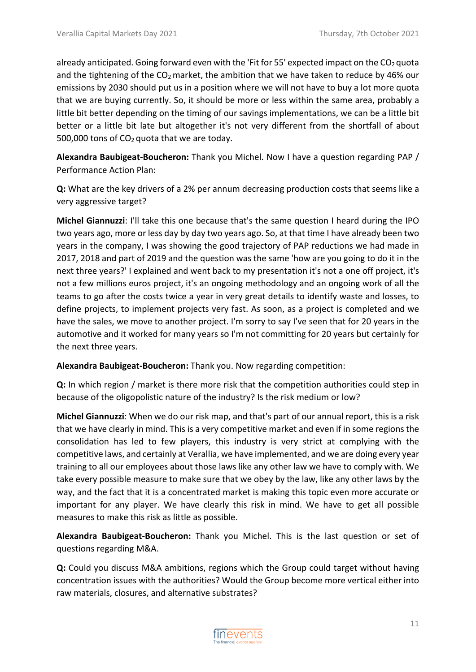already anticipated. Going forward even with the 'Fit for 55' expected impact on the  $CO<sub>2</sub>$  quota and the tightening of the  $CO<sub>2</sub>$  market, the ambition that we have taken to reduce by 46% our emissions by 2030 should put us in a position where we will not have to buy a lot more quota that we are buying currently. So, it should be more or less within the same area, probably a little bit better depending on the timing of our savings implementations, we can be a little bit better or a little bit late but altogether it's not very different from the shortfall of about 500,000 tons of  $CO<sub>2</sub>$  quota that we are today.

**Alexandra Baubigeat‐Boucheron:** Thank you Michel. Now I have a question regarding PAP / Performance Action Plan:

**Q:** What are the key drivers of a 2% per annum decreasing production costs that seems like a very aggressive target?

**Michel Giannuzzi**: I'll take this one because that's the same question I heard during the IPO two years ago, more or less day by day two years ago. So, at that time I have already been two years in the company, I was showing the good trajectory of PAP reductions we had made in 2017, 2018 and part of 2019 and the question was the same 'how are you going to do it in the next three years?' I explained and went back to my presentation it's not a one off project, it's not a few millions euros project, it's an ongoing methodology and an ongoing work of all the teams to go after the costs twice a year in very great details to identify waste and losses, to define projects, to implement projects very fast. As soon, as a project is completed and we have the sales, we move to another project. I'm sorry to say I've seen that for 20 years in the automotive and it worked for many years so I'm not committing for 20 years but certainly for the next three years.

**Alexandra Baubigeat‐Boucheron:** Thank you. Now regarding competition:

**Q:** In which region / market is there more risk that the competition authorities could step in because of the oligopolistic nature of the industry? Is the risk medium or low?

**Michel Giannuzzi**: When we do our risk map, and that's part of our annual report, this is a risk that we have clearly in mind. This is a very competitive market and even if in some regions the consolidation has led to few players, this industry is very strict at complying with the competitive laws, and certainly at Verallia, we have implemented, and we are doing every year training to all our employees about those laws like any other law we have to comply with. We take every possible measure to make sure that we obey by the law, like any other laws by the way, and the fact that it is a concentrated market is making this topic even more accurate or important for any player. We have clearly this risk in mind. We have to get all possible measures to make this risk as little as possible.

**Alexandra Baubigeat‐Boucheron:** Thank you Michel. This is the last question or set of questions regarding M&A.

**Q:** Could you discuss M&A ambitions, regions which the Group could target without having concentration issues with the authorities? Would the Group become more vertical either into raw materials, closures, and alternative substrates?